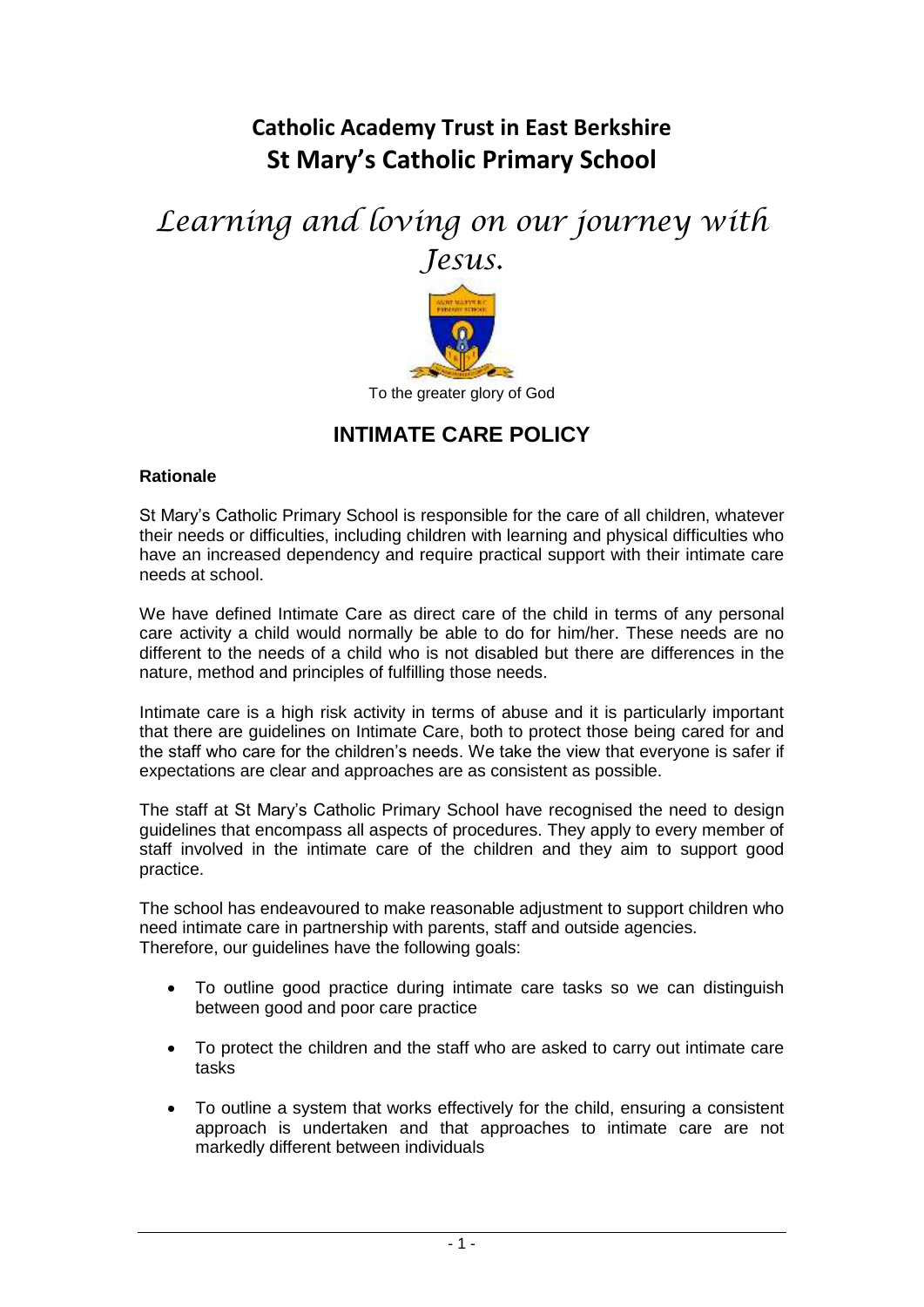## **Catholic Academy Trust in East Berkshire St Mary's Catholic Primary School**

# *Learning and loving on our journey with Jesus.*



## **INTIMATE CARE POLICY**

## **Rationale**

St Mary's Catholic Primary School is responsible for the care of all children, whatever their needs or difficulties, including children with learning and physical difficulties who have an increased dependency and require practical support with their intimate care needs at school.

We have defined Intimate Care as direct care of the child in terms of any personal care activity a child would normally be able to do for him/her. These needs are no different to the needs of a child who is not disabled but there are differences in the nature, method and principles of fulfilling those needs.

Intimate care is a high risk activity in terms of abuse and it is particularly important that there are guidelines on Intimate Care, both to protect those being cared for and the staff who care for the children's needs. We take the view that everyone is safer if expectations are clear and approaches are as consistent as possible.

The staff at St Mary's Catholic Primary School have recognised the need to design guidelines that encompass all aspects of procedures. They apply to every member of staff involved in the intimate care of the children and they aim to support good practice.

The school has endeavoured to make reasonable adjustment to support children who need intimate care in partnership with parents, staff and outside agencies. Therefore, our quidelines have the following goals:

- To outline good practice during intimate care tasks so we can distinguish between good and poor care practice
- To protect the children and the staff who are asked to carry out intimate care tasks
- To outline a system that works effectively for the child, ensuring a consistent approach is undertaken and that approaches to intimate care are not markedly different between individuals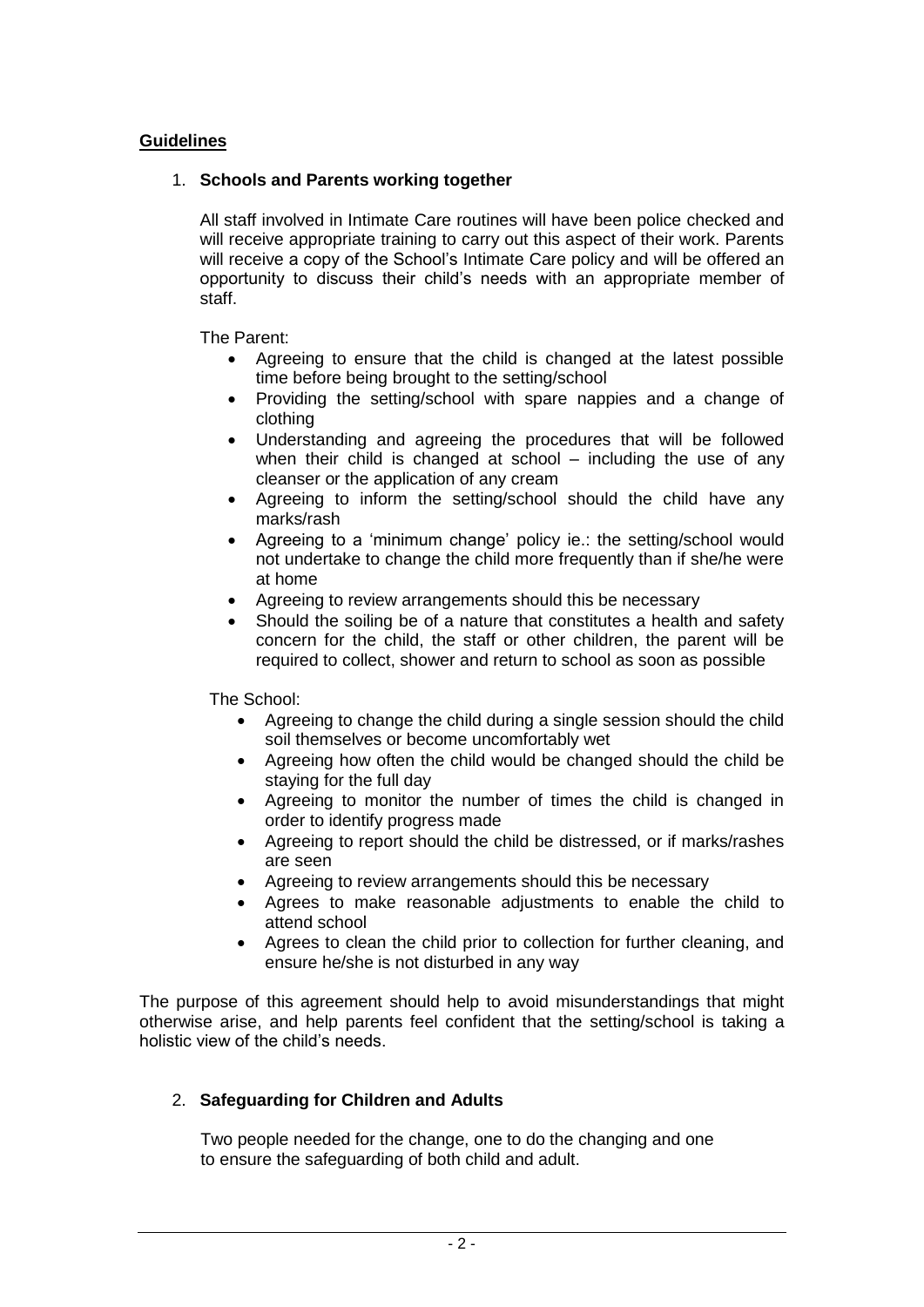## **Guidelines**

## 1. **Schools and Parents working together**

All staff involved in Intimate Care routines will have been police checked and will receive appropriate training to carry out this aspect of their work. Parents will receive a copy of the School's Intimate Care policy and will be offered an opportunity to discuss their child's needs with an appropriate member of staff.

The Parent:

- Agreeing to ensure that the child is changed at the latest possible time before being brought to the setting/school
- Providing the setting/school with spare nappies and a change of clothing
- Understanding and agreeing the procedures that will be followed when their child is changed at school – including the use of any cleanser or the application of any cream
- Agreeing to inform the setting/school should the child have any marks/rash
- Agreeing to a 'minimum change' policy ie.: the setting/school would not undertake to change the child more frequently than if she/he were at home
- Agreeing to review arrangements should this be necessary
- Should the soiling be of a nature that constitutes a health and safety concern for the child, the staff or other children, the parent will be required to collect, shower and return to school as soon as possible

The School:

- Agreeing to change the child during a single session should the child soil themselves or become uncomfortably wet
- Agreeing how often the child would be changed should the child be staying for the full day
- Agreeing to monitor the number of times the child is changed in order to identify progress made
- Agreeing to report should the child be distressed, or if marks/rashes are seen
- Agreeing to review arrangements should this be necessary
- Agrees to make reasonable adjustments to enable the child to attend school
- Agrees to clean the child prior to collection for further cleaning, and ensure he/she is not disturbed in any way

The purpose of this agreement should help to avoid misunderstandings that might otherwise arise, and help parents feel confident that the setting/school is taking a holistic view of the child's needs.

## 2. **Safeguarding for Children and Adults**

 Two people needed for the change, one to do the changing and one to ensure the safeguarding of both child and adult.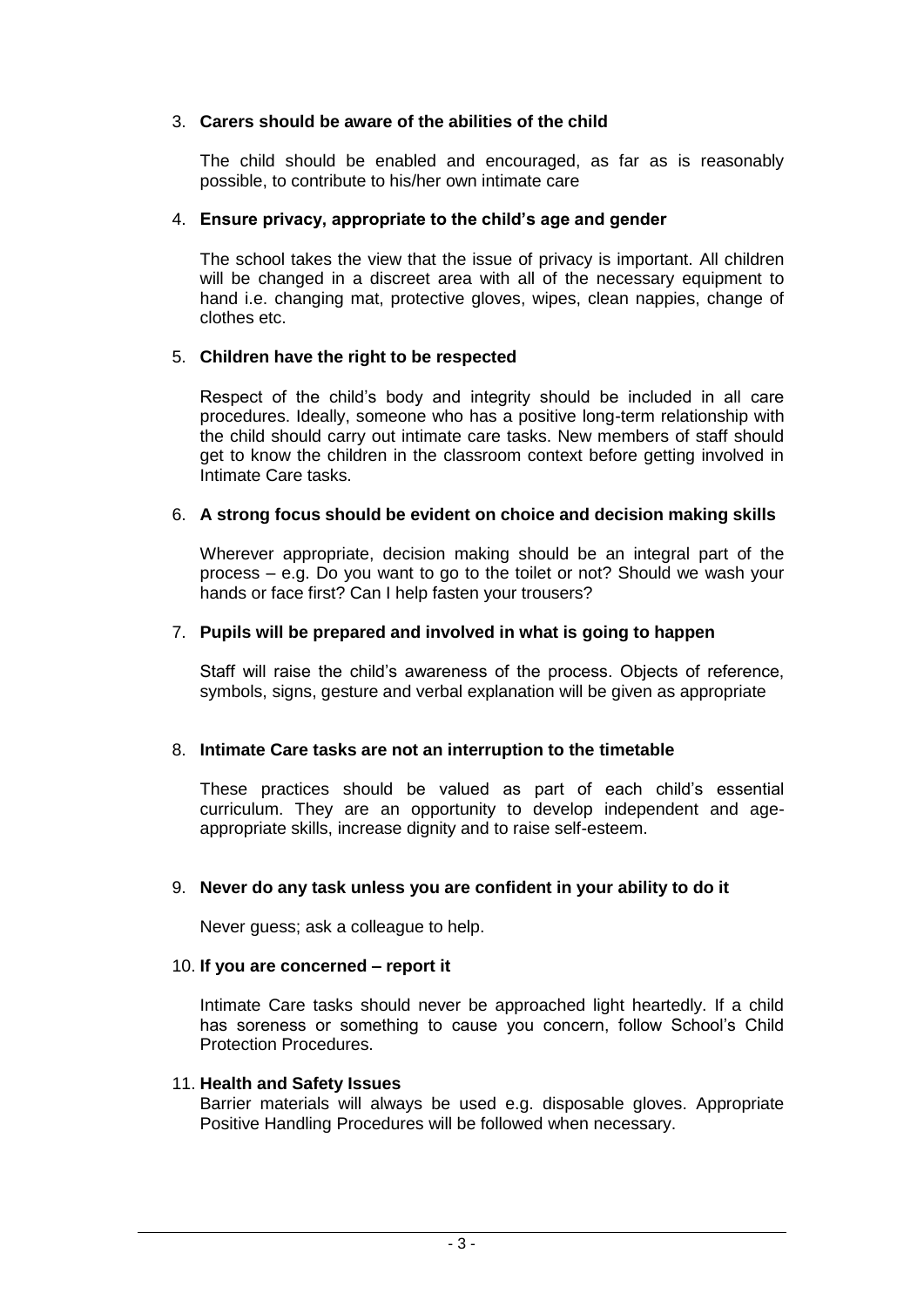## 3. **Carers should be aware of the abilities of the child**

The child should be enabled and encouraged, as far as is reasonably possible, to contribute to his/her own intimate care

#### 4. **Ensure privacy, appropriate to the child's age and gender**

The school takes the view that the issue of privacy is important. All children will be changed in a discreet area with all of the necessary equipment to hand i.e. changing mat, protective gloves, wipes, clean nappies, change of clothes etc.

## 5. **Children have the right to be respected**

Respect of the child's body and integrity should be included in all care procedures. Ideally, someone who has a positive long-term relationship with the child should carry out intimate care tasks. New members of staff should get to know the children in the classroom context before getting involved in Intimate Care tasks.

#### 6. **A strong focus should be evident on choice and decision making skills**

Wherever appropriate, decision making should be an integral part of the process – e.g. Do you want to go to the toilet or not? Should we wash your hands or face first? Can I help fasten your trousers?

#### 7. **Pupils will be prepared and involved in what is going to happen**

Staff will raise the child's awareness of the process. Objects of reference, symbols, signs, gesture and verbal explanation will be given as appropriate

## 8. **Intimate Care tasks are not an interruption to the timetable**

These practices should be valued as part of each child's essential curriculum. They are an opportunity to develop independent and ageappropriate skills, increase dignity and to raise self-esteem.

#### 9. **Never do any task unless you are confident in your ability to do it**

Never guess; ask a colleague to help.

#### 10. **If you are concerned – report it**

Intimate Care tasks should never be approached light heartedly. If a child has soreness or something to cause you concern, follow School's Child Protection Procedures.

#### 11. **Health and Safety Issues**

Barrier materials will always be used e.g. disposable gloves. Appropriate Positive Handling Procedures will be followed when necessary.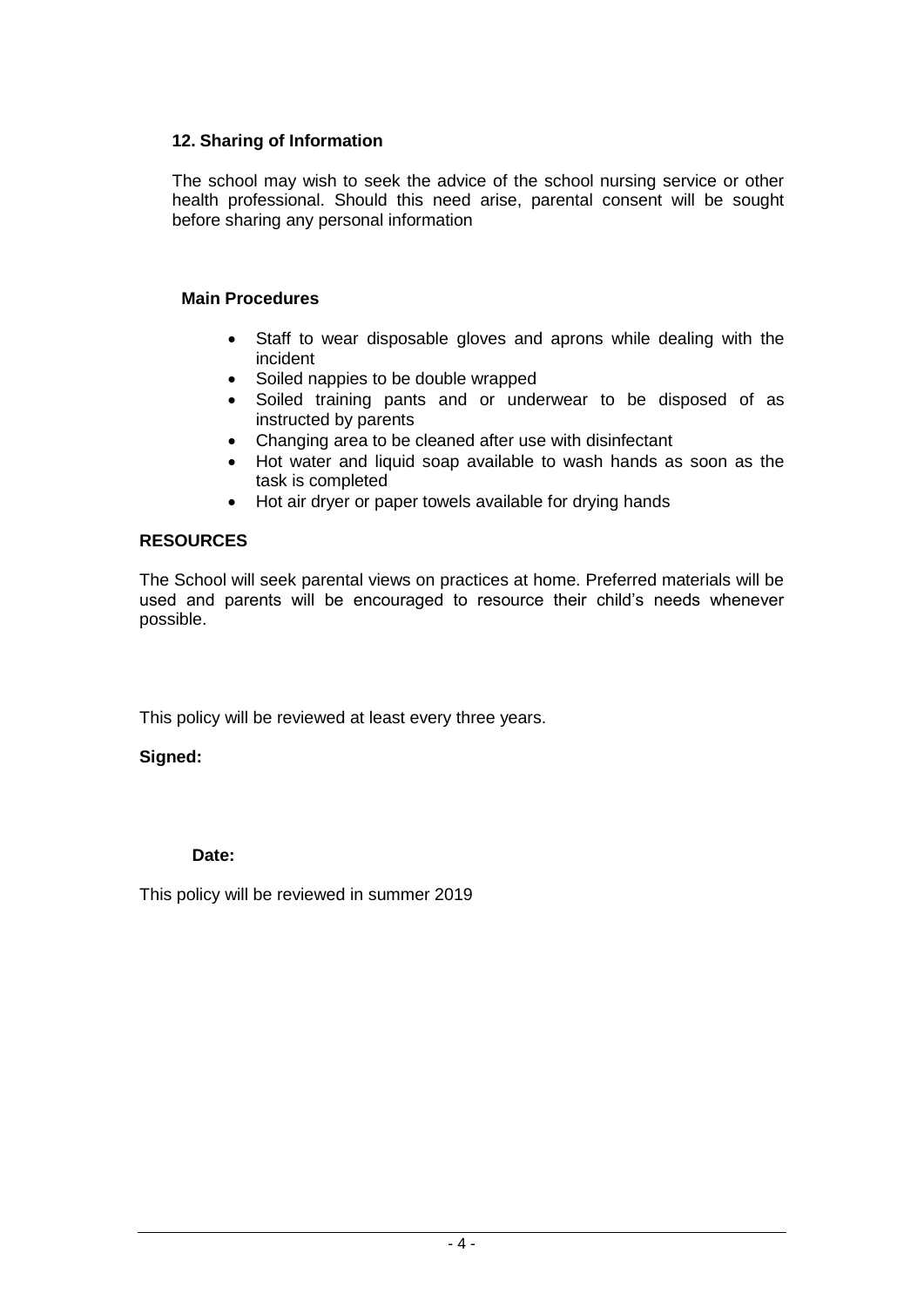## **12. Sharing of Information**

The school may wish to seek the advice of the school nursing service or other health professional. Should this need arise, parental consent will be sought before sharing any personal information

## **Main Procedures**

- Staff to wear disposable gloves and aprons while dealing with the incident
- Soiled nappies to be double wrapped
- Soiled training pants and or underwear to be disposed of as instructed by parents
- Changing area to be cleaned after use with disinfectant
- Hot water and liquid soap available to wash hands as soon as the task is completed
- Hot air dryer or paper towels available for drying hands

## **RESOURCES**

The School will seek parental views on practices at home. Preferred materials will be used and parents will be encouraged to resource their child's needs whenever possible.

This policy will be reviewed at least every three years.

## **Signed:**

## **Date:**

This policy will be reviewed in summer 2019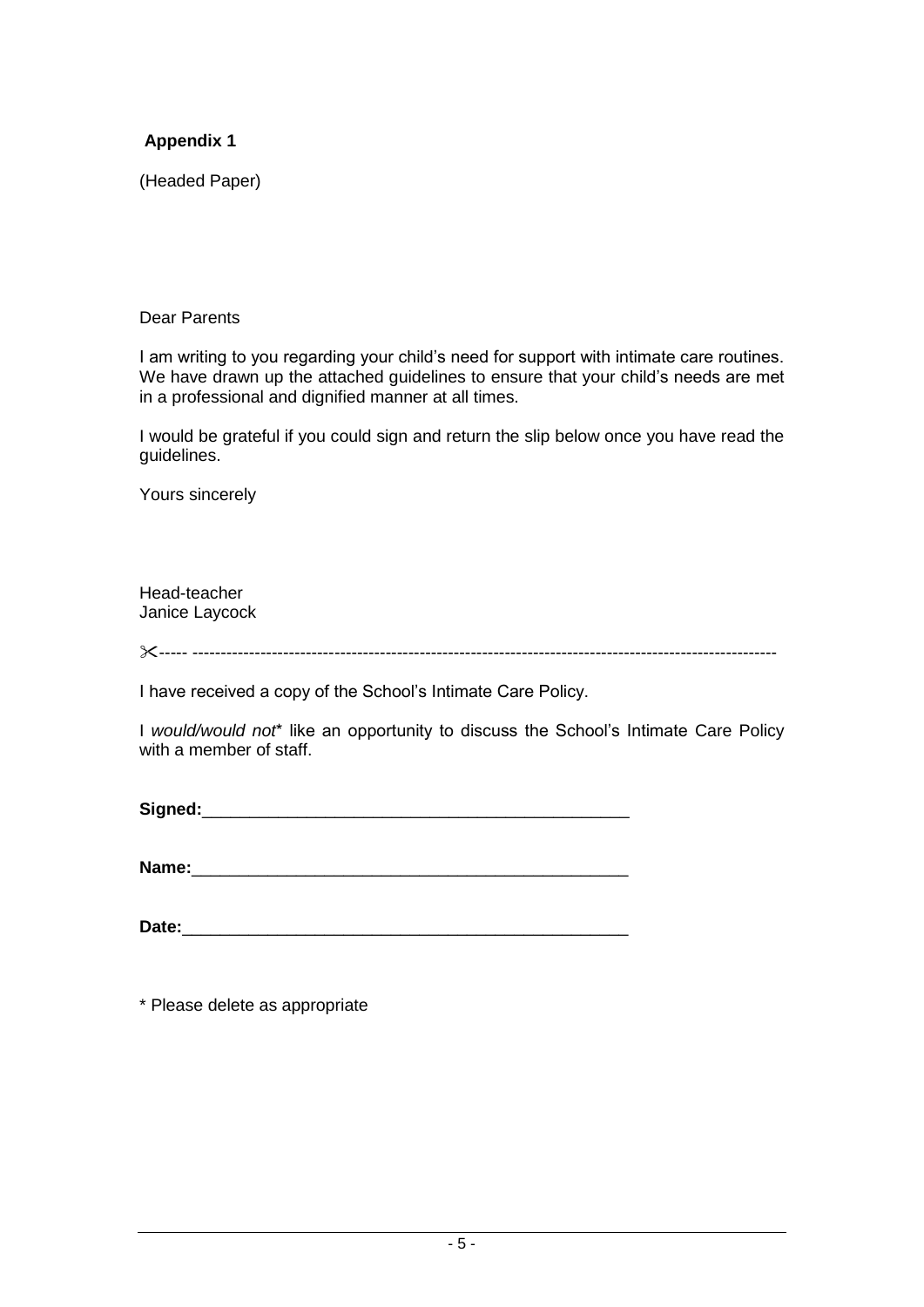## **Appendix 1**

(Headed Paper)

#### Dear Parents

I am writing to you regarding your child's need for support with intimate care routines. We have drawn up the attached guidelines to ensure that your child's needs are met in a professional and dignified manner at all times.

I would be grateful if you could sign and return the slip below once you have read the guidelines.

Yours sincerely

Head-teacher Janice Laycock

----- -------------------------------------------------------------------------------------------------------

I have received a copy of the School's Intimate Care Policy.

I *would/would not*\* like an opportunity to discuss the School's Intimate Care Policy with a member of staff.

Signed:

**Name:**\_\_\_\_\_\_\_\_\_\_\_\_\_\_\_\_\_\_\_\_\_\_\_\_\_\_\_\_\_\_\_\_\_\_\_\_\_\_\_\_\_\_\_\_\_\_

\* Please delete as appropriate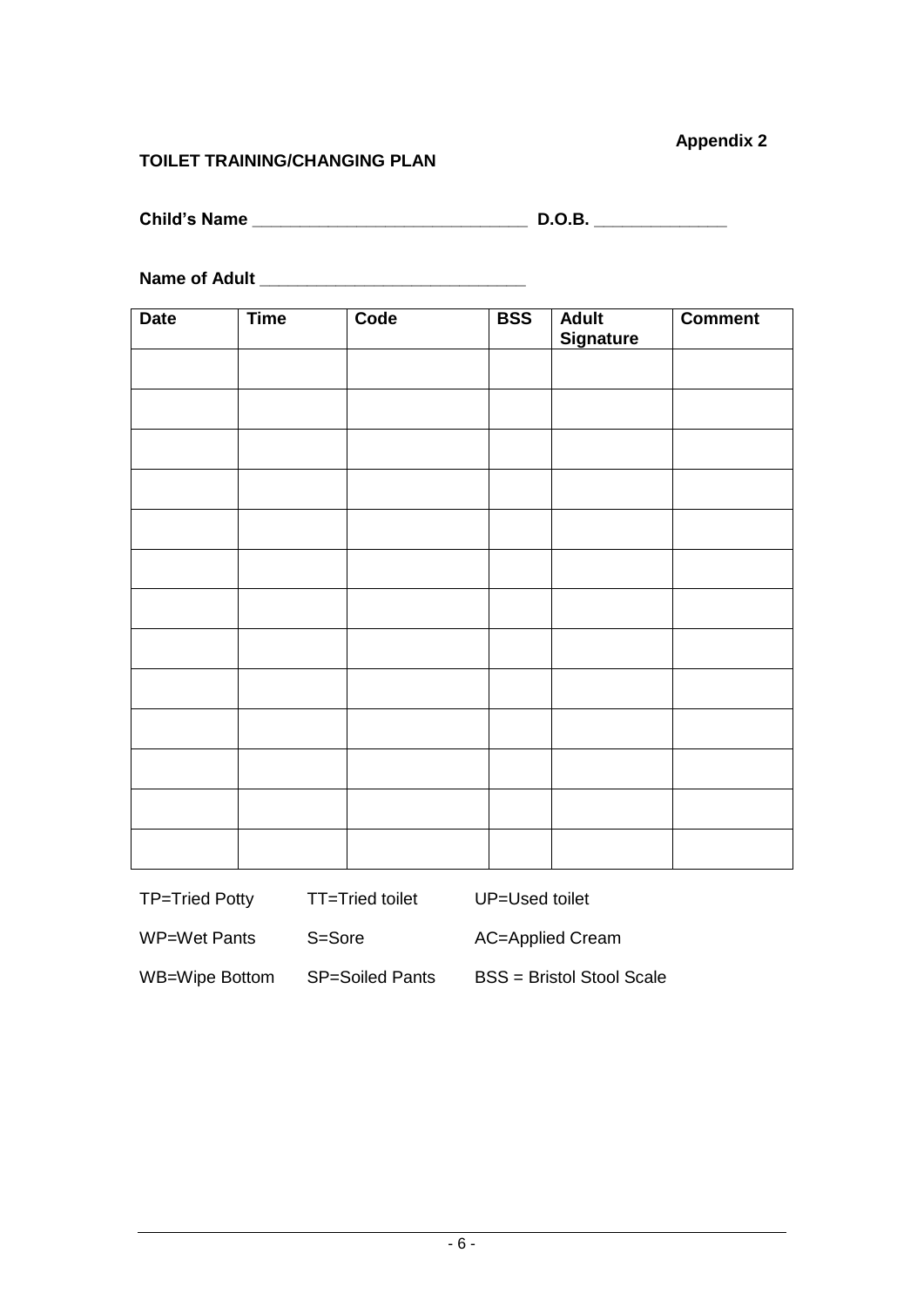## **Appendix 2**

## **TOILET TRAINING/CHANGING PLAN**

| <b>Child's Name</b> |  | ם ח |
|---------------------|--|-----|
|---------------------|--|-----|

**Name of Adult \_\_\_\_\_\_\_\_\_\_\_\_\_\_\_\_\_\_\_\_\_\_\_\_\_\_\_\_**

| <b>Date</b> | <b>Time</b> | Code | <b>BSS</b> | <b>Adult</b><br><b>Signature</b> | <b>Comment</b> |
|-------------|-------------|------|------------|----------------------------------|----------------|
|             |             |      |            |                                  |                |
|             |             |      |            |                                  |                |
|             |             |      |            |                                  |                |
|             |             |      |            |                                  |                |
|             |             |      |            |                                  |                |
|             |             |      |            |                                  |                |
|             |             |      |            |                                  |                |
|             |             |      |            |                                  |                |
|             |             |      |            |                                  |                |
|             |             |      |            |                                  |                |
|             |             |      |            |                                  |                |
|             |             |      |            |                                  |                |
|             |             |      |            |                                  |                |

TP=Tried Potty TT=Tried toilet UP=Used toilet

WP=Wet Pants S=Sore AC=Applied Cream

WB=Wipe Bottom SP=Soiled Pants BSS = Bristol Stool Scale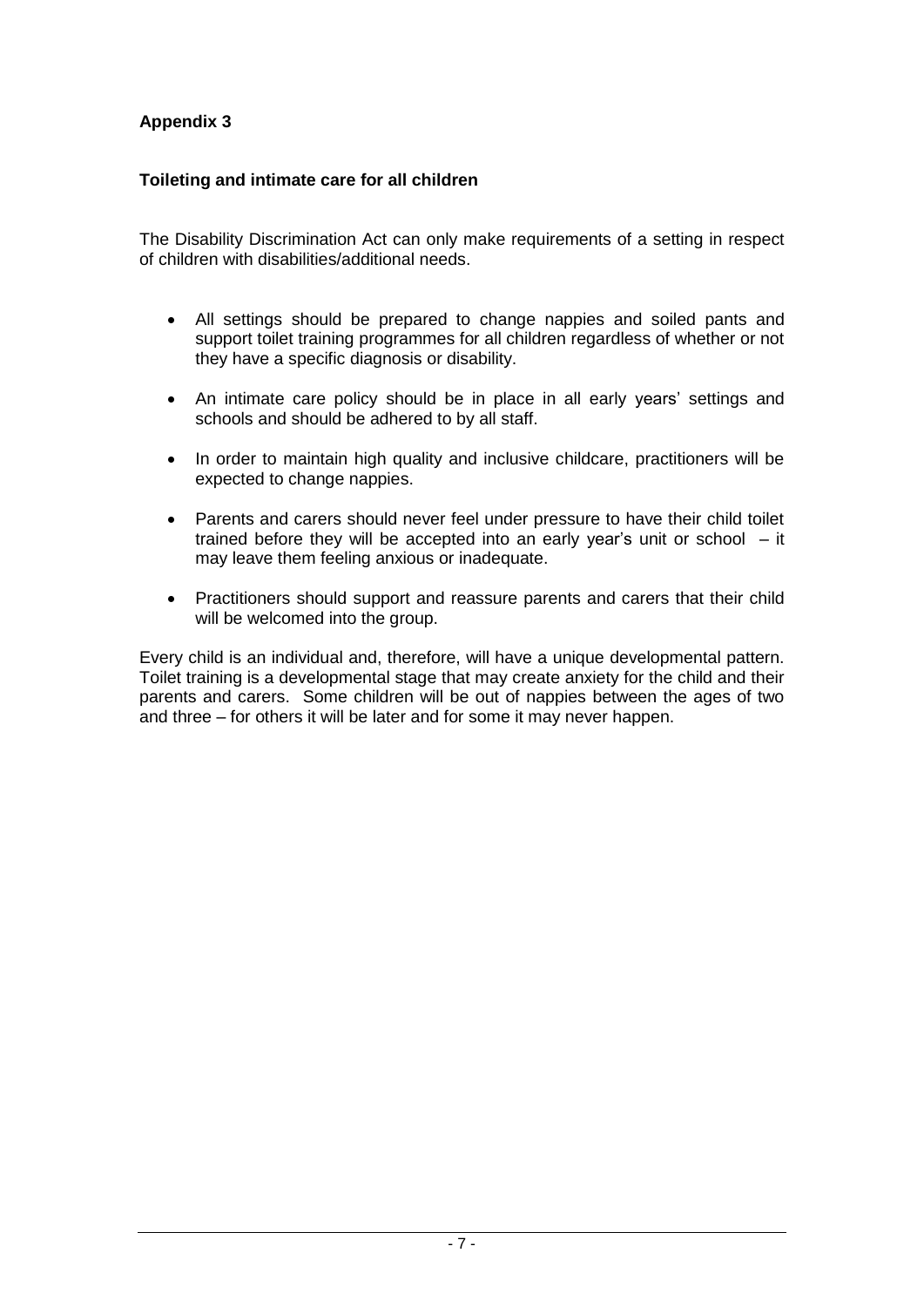## **Appendix 3**

## **Toileting and intimate care for all children**

The Disability Discrimination Act can only make requirements of a setting in respect of children with disabilities/additional needs.

- All settings should be prepared to change nappies and soiled pants and support toilet training programmes for all children regardless of whether or not they have a specific diagnosis or disability.
- An intimate care policy should be in place in all early years' settings and schools and should be adhered to by all staff.
- In order to maintain high quality and inclusive childcare, practitioners will be expected to change nappies.
- Parents and carers should never feel under pressure to have their child toilet trained before they will be accepted into an early year's unit or school – it may leave them feeling anxious or inadequate.
- Practitioners should support and reassure parents and carers that their child will be welcomed into the group.

Every child is an individual and, therefore, will have a unique developmental pattern. Toilet training is a developmental stage that may create anxiety for the child and their parents and carers. Some children will be out of nappies between the ages of two and three – for others it will be later and for some it may never happen.